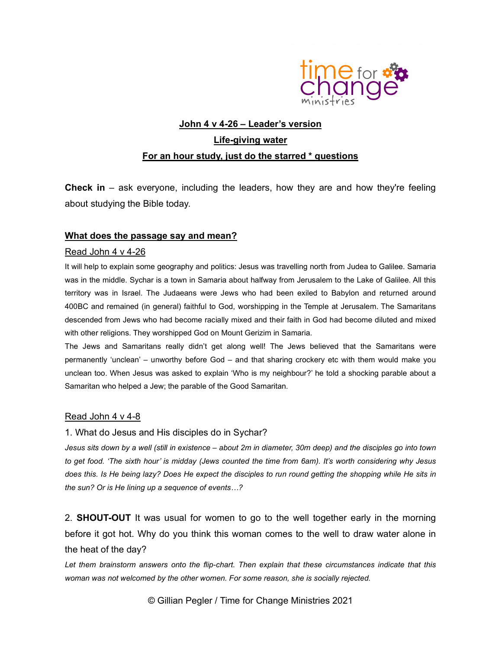

## John 4 v 4-26 - Leader's version Life-giving water For an hour study, just do the starred \* questions

**Check in** – ask everyone, including the leaders, how they are and how they're feeling about studying the Bible today.

#### What does the passage say and mean?

#### Read John 4 v 4-26

It will help to explain some geography and politics: Jesus was travelling north from Judea to Galilee. Samaria was in the middle. Sychar is a town in Samaria about halfway from Jerusalem to the Lake of Galilee. All this territory was in Israel. The Judaeans were Jews who had been exiled to Babylon and returned around 400BC and remained (in general) faithful to God, worshipping in the Temple at Jerusalem. The Samaritans descended from Jews who had become racially mixed and their faith in God had become diluted and mixed with other religions. They worshipped God on Mount Gerizim in Samaria.

The Jews and Samaritans really didn't get along well! The Jews believed that the Samaritans were permanently 'unclean' – unworthy before God – and that sharing crockery etc with them would make you unclean too. When Jesus was asked to explain 'Who is my neighbour?' he told a shocking parable about a Samaritan who helped a Jew; the parable of the Good Samaritan.

#### Read John 4 v 4-8

#### 1. What do Jesus and His disciples do in Sychar?

Jesus sits down by a well (still in existence – about 2m in diameter, 30m deep) and the disciples go into town to get food. 'The sixth hour' is midday (Jews counted the time from 6am). It's worth considering why Jesus does this. Is He being lazy? Does He expect the disciples to run round getting the shopping while He sits in the sun? Or is He lining up a sequence of events…?

2. **SHOUT-OUT** It was usual for women to go to the well together early in the morning before it got hot. Why do you think this woman comes to the well to draw water alone in the heat of the day?

Let them brainstorm answers onto the flip-chart. Then explain that these circumstances indicate that this woman was not welcomed by the other women. For some reason, she is socially rejected.

© Gillian Pegler / Time for Change Ministries 2021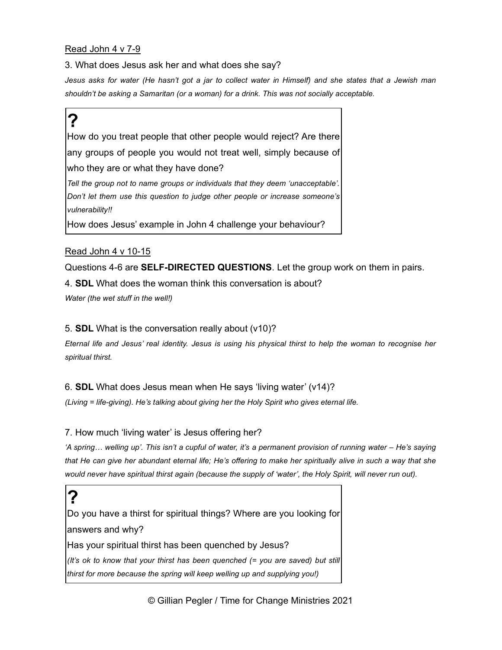#### Read John 4 v 7-9

3. What does Jesus ask her and what does she say?

Jesus asks for water (He hasn't got a jar to collect water in Himself) and she states that a Jewish man shouldn't be asking a Samaritan (or a woman) for a drink. This was not socially acceptable.

# ?

How do you treat people that other people would reject? Are there any groups of people you would not treat well, simply because of who they are or what they have done? Tell the group not to name groups or individuals that they deem 'unacceptable'. Don't let them use this question to judge other people or increase someone's vulnerability!! How does Jesus' example in John 4 challenge your behaviour?

#### Read John 4 v 10-15

Questions 4-6 are SELF-DIRECTED QUESTIONS. Let the group work on them in pairs.

4. SDL What does the woman think this conversation is about?

Water (the wet stuff in the well!)

#### 5. SDL What is the conversation really about (v10)?

Eternal life and Jesus' real identity. Jesus is using his physical thirst to help the woman to recognise her spiritual thirst.

#### 6. SDL What does Jesus mean when He says 'living water' (v14)?

(Living = life-giving). He's talking about giving her the Holy Spirit who gives eternal life.

#### 7. How much 'living water' is Jesus offering her?

'A spring… welling up'. This isn't a cupful of water, it's a permanent provision of running water – He's saying that He can give her abundant eternal life; He's offering to make her spiritually alive in such a way that she would never have spiritual thirst again (because the supply of 'water', the Holy Spirit, will never run out).

? Do you have a thirst for spiritual things? Where are you looking for answers and why? Has your spiritual thirst has been quenched by Jesus? (It's ok to know that your thirst has been quenched (= you are saved) but still thirst for more because the spring will keep welling up and supplying you!)

© Gillian Pegler / Time for Change Ministries 2021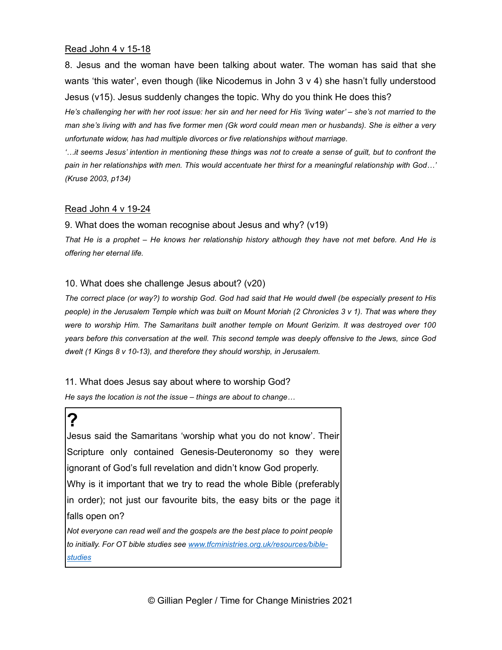#### Read John 4 v 15-18

8. Jesus and the woman have been talking about water. The woman has said that she wants 'this water', even though (like Nicodemus in John 3 v 4) she hasn't fully understood Jesus (v15). Jesus suddenly changes the topic. Why do you think He does this?

He's challenging her with her root issue: her sin and her need for His 'living water' – she's not married to the man she's living with and has five former men (Gk word could mean men or husbands). She is either a very unfortunate widow, has had multiple divorces or five relationships without marriage.

'…it seems Jesus' intention in mentioning these things was not to create a sense of guilt, but to confront the pain in her relationships with men. This would accentuate her thirst for a meaningful relationship with God…' (Kruse 2003, p134)

#### Read John 4 v 19-24

9. What does the woman recognise about Jesus and why? (v19)

That He is a prophet – He knows her relationship history although they have not met before. And He is offering her eternal life.

#### 10. What does she challenge Jesus about? (v20)

The correct place (or way?) to worship God. God had said that He would dwell (be especially present to His people) in the Jerusalem Temple which was built on Mount Moriah (2 Chronicles 3 v 1). That was where they were to worship Him. The Samaritans built another temple on Mount Gerizim. It was destroyed over 100 years before this conversation at the well. This second temple was deeply offensive to the Jews, since God dwelt (1 Kings 8 v 10-13), and therefore they should worship, in Jerusalem.

11. What does Jesus say about where to worship God?

He says the location is not the issue – things are about to change…

? Jesus said the Samaritans 'worship what you do not know'. Their Scripture only contained Genesis-Deuteronomy so they were ignorant of God's full revelation and didn't know God properly. Why is it important that we try to read the whole Bible (preferably in order); not just our favourite bits, the easy bits or the page it falls open on? Not everyone can read well and the gospels are the best place to point people to initially. For OT bible studies see www.tfcministries.org.uk/resources/biblestudies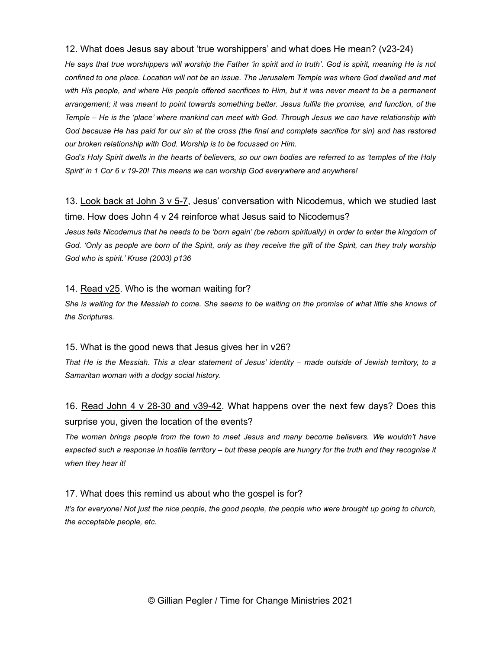#### 12. What does Jesus say about 'true worshippers' and what does He mean? (v23-24)

He says that true worshippers will worship the Father 'in spirit and in truth'. God is spirit, meaning He is not confined to one place. Location will not be an issue. The Jerusalem Temple was where God dwelled and met with His people, and where His people offered sacrifices to Him, but it was never meant to be a permanent arrangement; it was meant to point towards something better. Jesus fulfils the promise, and function, of the Temple – He is the 'place' where mankind can meet with God. Through Jesus we can have relationship with God because He has paid for our sin at the cross (the final and complete sacrifice for sin) and has restored our broken relationship with God. Worship is to be focussed on Him.

God's Holy Spirit dwells in the hearts of believers, so our own bodies are referred to as 'temples of the Holy Spirit' in 1 Cor 6 v 19-20! This means we can worship God everywhere and anywhere!

13. Look back at John 3 v 5-7, Jesus' conversation with Nicodemus, which we studied last time. How does John 4 v 24 reinforce what Jesus said to Nicodemus?

Jesus tells Nicodemus that he needs to be 'born again' (be reborn spiritually) in order to enter the kingdom of God. 'Only as people are born of the Spirit, only as they receive the gift of the Spirit, can they truly worship God who is spirit.' Kruse (2003) p136

#### 14. Read v25. Who is the woman waiting for?

She is waiting for the Messiah to come. She seems to be waiting on the promise of what little she knows of the Scriptures.

#### 15. What is the good news that Jesus gives her in v26?

That He is the Messiah. This a clear statement of Jesus' identity – made outside of Jewish territory, to a Samaritan woman with a dodgy social history.

### 16. Read John 4 v 28-30 and v39-42. What happens over the next few days? Does this surprise you, given the location of the events?

The woman brings people from the town to meet Jesus and many become believers. We wouldn't have expected such a response in hostile territory – but these people are hungry for the truth and they recognise it when they hear it!

#### 17. What does this remind us about who the gospel is for?

It's for everyone! Not just the nice people, the good people, the people who were brought up going to church, the acceptable people, etc.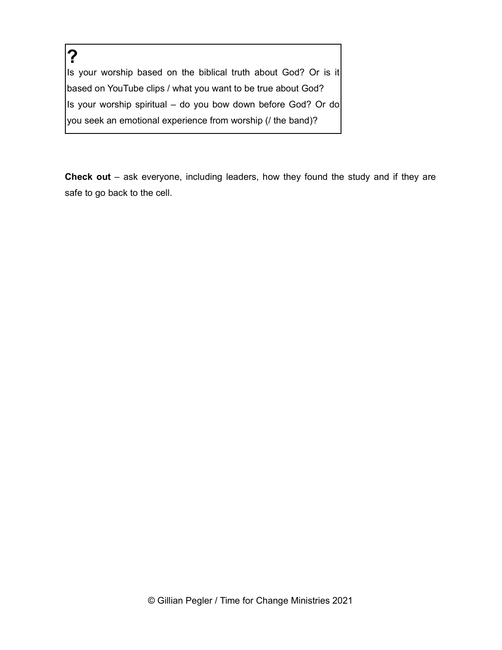? Is your worship based on the biblical truth about God? Or is it based on YouTube clips / what you want to be true about God? Is your worship spiritual – do you bow down before God? Or do you seek an emotional experience from worship (/ the band)?

Check out – ask everyone, including leaders, how they found the study and if they are safe to go back to the cell.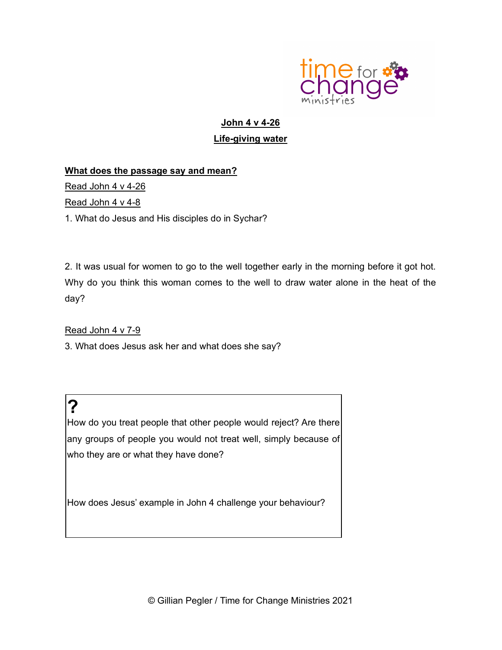

## John 4 v 4-26 Life-giving water

#### What does the passage say and mean?

Read John 4 v 4-26

Read John 4 v 4-8

1. What do Jesus and His disciples do in Sychar?

2. It was usual for women to go to the well together early in the morning before it got hot. Why do you think this woman comes to the well to draw water alone in the heat of the day?

Read John 4 v 7-9

3. What does Jesus ask her and what does she say?

? How do you treat people that other people would reject? Are there any groups of people you would not treat well, simply because of who they are or what they have done?

How does Jesus' example in John 4 challenge your behaviour?

© Gillian Pegler / Time for Change Ministries 2021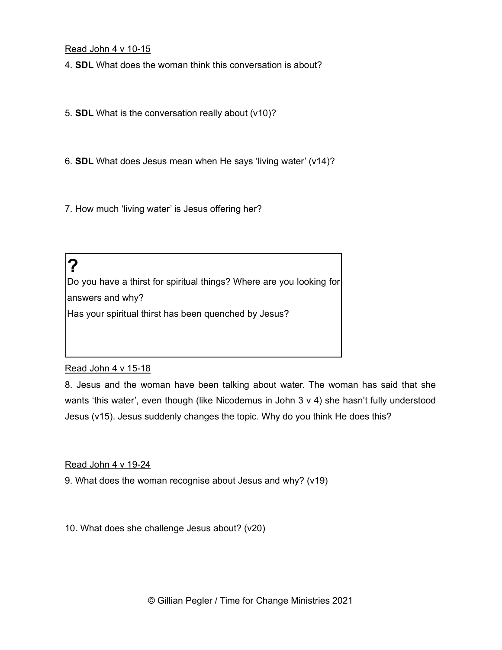Read John 4 v 10-15

4. SDL What does the woman think this conversation is about?

5. SDL What is the conversation really about (v10)?

6. SDL What does Jesus mean when He says 'living water' (v14)?

7. How much 'living water' is Jesus offering her?

? Do you have a thirst for spiritual things? Where are you looking for answers and why? Has your spiritual thirst has been quenched by Jesus?

#### Read John 4 v 15-18

8. Jesus and the woman have been talking about water. The woman has said that she wants 'this water', even though (like Nicodemus in John 3 v 4) she hasn't fully understood Jesus (v15). Jesus suddenly changes the topic. Why do you think He does this?

#### Read John 4 v 19-24

9. What does the woman recognise about Jesus and why? (v19)

10. What does she challenge Jesus about? (v20)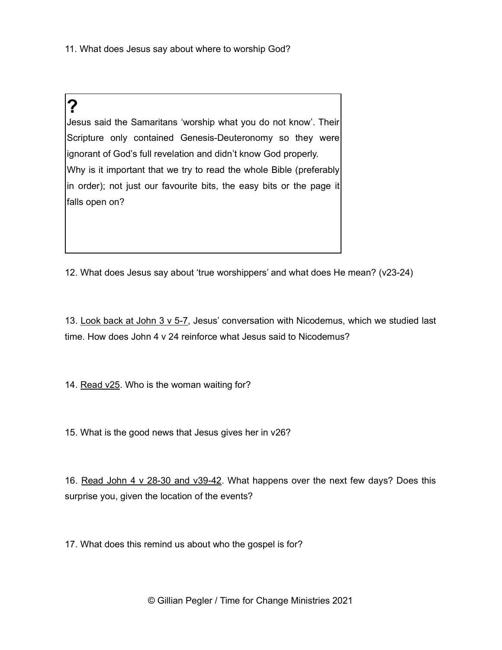11. What does Jesus say about where to worship God?

## ?

Jesus said the Samaritans 'worship what you do not know'. Their Scripture only contained Genesis-Deuteronomy so they were ignorant of God's full revelation and didn't know God properly. Why is it important that we try to read the whole Bible (preferably in order); not just our favourite bits, the easy bits or the page it falls open on?

12. What does Jesus say about 'true worshippers' and what does He mean? (v23-24)

13. Look back at John 3 v 5-7, Jesus' conversation with Nicodemus, which we studied last time. How does John 4 v 24 reinforce what Jesus said to Nicodemus?

14. Read v25. Who is the woman waiting for?

15. What is the good news that Jesus gives her in v26?

16. Read John 4 v 28-30 and v39-42. What happens over the next few days? Does this surprise you, given the location of the events?

17. What does this remind us about who the gospel is for?